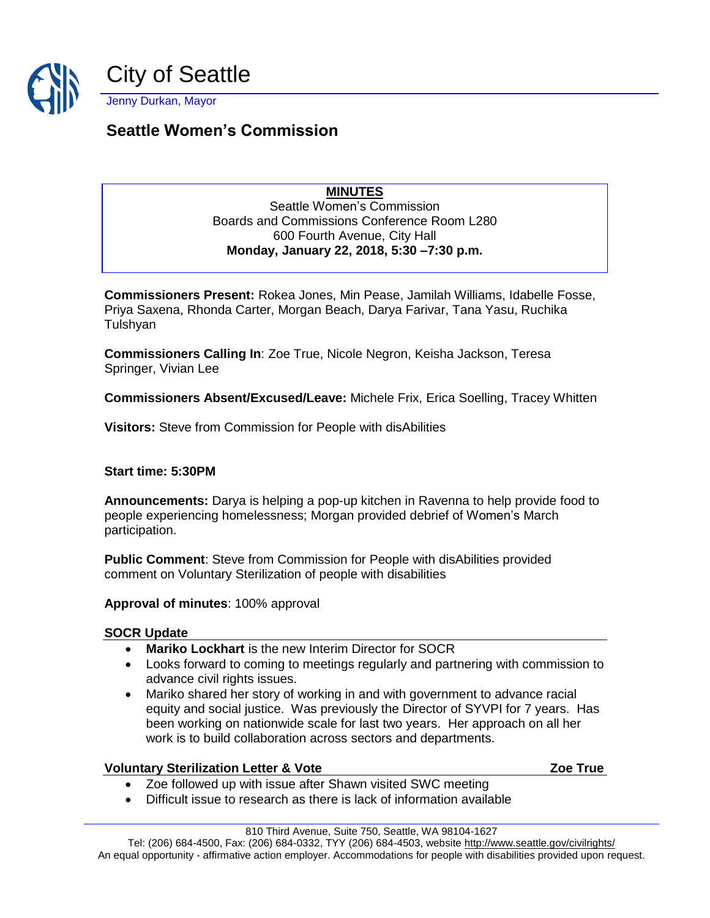

# **Seattle Women's Commission**

## **MINUTES**

Seattle Women's Commission Boards and Commissions Conference Room L280 600 Fourth Avenue, City Hall **Monday, January 22, 2018, 5:30 –7:30 p.m.**

**Commissioners Present:** Rokea Jones, Min Pease, Jamilah Williams, Idabelle Fosse, Priya Saxena, Rhonda Carter, Morgan Beach, Darya Farivar, Tana Yasu, Ruchika Tulshyan

**Commissioners Calling In**: Zoe True, Nicole Negron, Keisha Jackson, Teresa Springer, Vivian Lee

**Commissioners Absent/Excused/Leave:** Michele Frix, Erica Soelling, Tracey Whitten

**Visitors:** Steve from Commission for People with disAbilities

#### **Start time: 5:30PM**

**Announcements:** Darya is helping a pop-up kitchen in Ravenna to help provide food to people experiencing homelessness; Morgan provided debrief of Women's March participation.

**Public Comment**: Steve from Commission for People with disAbilities provided comment on Voluntary Sterilization of people with disabilities

**Approval of minutes**: 100% approval

#### **SOCR Update**

- **Mariko Lockhart** is the new Interim Director for SOCR
- Looks forward to coming to meetings regularly and partnering with commission to advance civil rights issues.
- Mariko shared her story of working in and with government to advance racial equity and social justice. Was previously the Director of SYVPI for 7 years. Has been working on nationwide scale for last two years. Her approach on all her work is to build collaboration across sectors and departments.

#### **Voluntary Sterilization Letter & Vote Zoe True**

- Zoe followed up with issue after Shawn visited SWC meeting
- Difficult issue to research as there is lack of information available

Tel: (206) 684-4500, Fax: (206) 684-0332, TYY (206) 684-4503, websit[e http://www.seattle.gov/civilrights/](http://www.seattle.gov/civilrights/) An equal opportunity - affirmative action employer. Accommodations for people with disabilities provided upon request.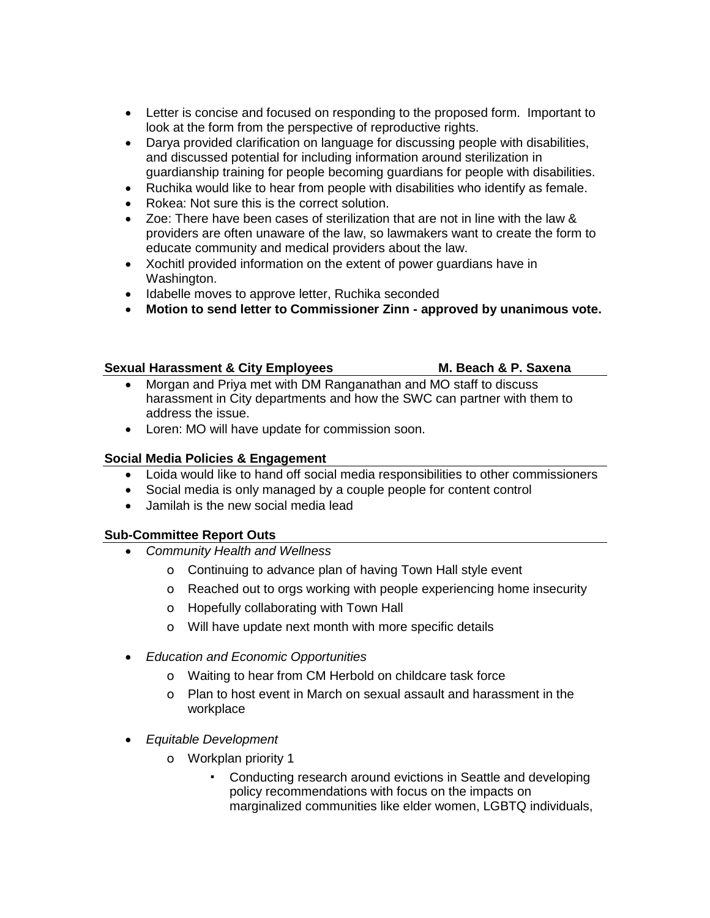- Letter is concise and focused on responding to the proposed form. Important to look at the form from the perspective of reproductive rights.
- Darya provided clarification on language for discussing people with disabilities, and discussed potential for including information around sterilization in guardianship training for people becoming guardians for people with disabilities.
- Ruchika would like to hear from people with disabilities who identify as female.
- Rokea: Not sure this is the correct solution.
- Zoe: There have been cases of sterilization that are not in line with the law & providers are often unaware of the law, so lawmakers want to create the form to educate community and medical providers about the law.
- Xochitl provided information on the extent of power guardians have in Washington.
- Idabelle moves to approve letter, Ruchika seconded
- **Motion to send letter to Commissioner Zinn - approved by unanimous vote.**

#### **Sexual Harassment & City Employees M. Beach & P. Saxena**

- Morgan and Priya met with DM Ranganathan and MO staff to discuss harassment in City departments and how the SWC can partner with them to address the issue.
- Loren: MO will have update for commission soon.

### **Social Media Policies & Engagement**

- Loida would like to hand off social media responsibilities to other commissioners
- Social media is only managed by a couple people for content control
- Jamilah is the new social media lead

#### **Sub-Committee Report Outs**

- *Community Health and Wellness*
	- o Continuing to advance plan of having Town Hall style event
	- o Reached out to orgs working with people experiencing home insecurity
	- o Hopefully collaborating with Town Hall
	- o Will have update next month with more specific details
- *Education and Economic Opportunities*
	- o Waiting to hear from CM Herbold on childcare task force
	- o Plan to host event in March on sexual assault and harassment in the workplace
- *Equitable Development*
	- o Workplan priority 1
		- Conducting research around evictions in Seattle and developing policy recommendations with focus on the impacts on marginalized communities like elder women, LGBTQ individuals,